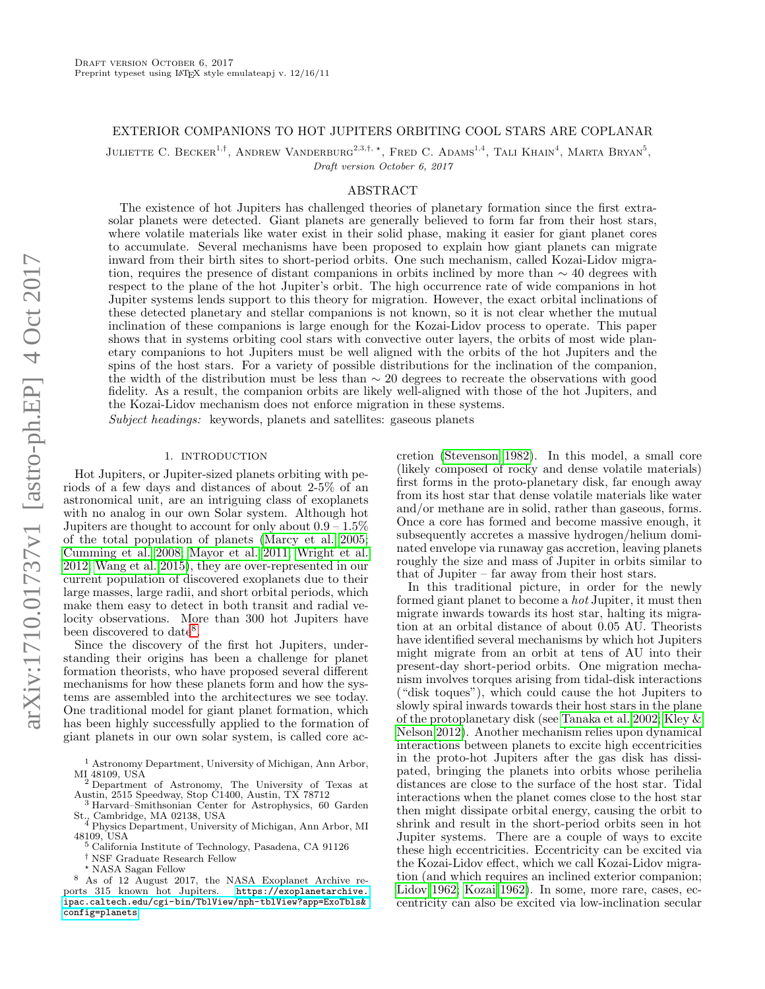# EXTERIOR COMPANIONS TO HOT JUPITERS ORBITING COOL STARS ARE COPLANAR

JULIETTE C. BECKER<sup>1,†</sup>, ANDREW VANDERBURG<sup>2,3,†,</sup> \*, FRED C. ADAMS<sup>1,4</sup>, TALI KHAIN<sup>4</sup>, MARTA BRYAN<sup>5</sup>,

Draft version October 6, 2017

### ABSTRACT

The existence of hot Jupiters has challenged theories of planetary formation since the first extrasolar planets were detected. Giant planets are generally believed to form far from their host stars, where volatile materials like water exist in their solid phase, making it easier for giant planet cores to accumulate. Several mechanisms have been proposed to explain how giant planets can migrate inward from their birth sites to short-period orbits. One such mechanism, called Kozai-Lidov migration, requires the presence of distant companions in orbits inclined by more than  $\sim$  40 degrees with respect to the plane of the hot Jupiter's orbit. The high occurrence rate of wide companions in hot Jupiter systems lends support to this theory for migration. However, the exact orbital inclinations of these detected planetary and stellar companions is not known, so it is not clear whether the mutual inclination of these companions is large enough for the Kozai-Lidov process to operate. This paper shows that in systems orbiting cool stars with convective outer layers, the orbits of most wide planetary companions to hot Jupiters must be well aligned with the orbits of the hot Jupiters and the spins of the host stars. For a variety of possible distributions for the inclination of the companion, the width of the distribution must be less than ∼ 20 degrees to recreate the observations with good fidelity. As a result, the companion orbits are likely well-aligned with those of the hot Jupiters, and the Kozai-Lidov mechanism does not enforce migration in these systems.

Subject headings: keywords, planets and satellites: gaseous planets

### 1. INTRODUCTION

Hot Jupiters, or Jupiter-sized planets orbiting with periods of a few days and distances of about 2-5% of an astronomical unit, are an intriguing class of exoplanets with no analog in our own Solar system. Although hot Jupiters are thought to account for only about  $0.9 - 1.5\%$ of the total population of planets [\(Marcy et al. 2005;](#page-9-0) [Cumming et al. 2008;](#page-9-1) [Mayor et al. 2011;](#page-9-2) [Wright et al.](#page-9-3) [2012;](#page-9-3) [Wang et al. 2015\)](#page-9-4), they are over-represented in our current population of discovered exoplanets due to their large masses, large radii, and short orbital periods, which make them easy to detect in both transit and radial velocity observations. More than 300 hot Jupiters have been discovered to date<sup>[8](#page-0-0)</sup>.

Since the discovery of the first hot Jupiters, understanding their origins has been a challenge for planet formation theorists, who have proposed several different mechanisms for how these planets form and how the systems are assembled into the architectures we see today. One traditional model for giant planet formation, which has been highly successfully applied to the formation of giant planets in our own solar system, is called core ac-

cretion [\(Stevenson 1982\)](#page-9-5). In this model, a small core (likely composed of rocky and dense volatile materials) first forms in the proto-planetary disk, far enough away from its host star that dense volatile materials like water and/or methane are in solid, rather than gaseous, forms. Once a core has formed and become massive enough, it subsequently accretes a massive hydrogen/helium dominated envelope via runaway gas accretion, leaving planets roughly the size and mass of Jupiter in orbits similar to that of Jupiter – far away from their host stars.

In this traditional picture, in order for the newly formed giant planet to become a hot Jupiter, it must then migrate inwards towards its host star, halting its migration at an orbital distance of about 0.05 AU. Theorists have identified several mechanisms by which hot Jupiters might migrate from an orbit at tens of AU into their present-day short-period orbits. One migration mechanism involves torques arising from tidal-disk interactions ("disk toques"), which could cause the hot Jupiters to slowly spiral inwards towards their host stars in the plane of the protoplanetary disk (see [Tanaka et al. 2002;](#page-9-6) [Kley &](#page-9-7) [Nelson 2012\)](#page-9-7). Another mechanism relies upon dynamical interactions between planets to excite high eccentricities in the proto-hot Jupiters after the gas disk has dissipated, bringing the planets into orbits whose perihelia distances are close to the surface of the host star. Tidal interactions when the planet comes close to the host star then might dissipate orbital energy, causing the orbit to shrink and result in the short-period orbits seen in hot Jupiter systems. There are a couple of ways to excite these high eccentricities. Eccentricity can be excited via the Kozai-Lidov effect, which we call Kozai-Lidov migration (and which requires an inclined exterior companion; [Lidov 1962;](#page-9-8) [Kozai 1962\)](#page-9-9). In some, more rare, cases, eccentricity can also be excited via low-inclination secular

<sup>1</sup> Astronomy Department, University of Michigan, Ann Arbor, MI 48109, USA

<sup>2</sup> Department of Astronomy, The University of Texas at Austin, 2515 Speedway, Stop C1400, Austin, TX 78712

<sup>3</sup> Harvard–Smithsonian Center for Astrophysics, 60 Garden St., Cambridge, MA 02138, USA <sup>4</sup> Physics Department, University of Michigan, Ann Arbor, MI

<sup>48109,</sup> USA <sup>5</sup> California Institute of Technology, Pasadena, CA 91126

<sup>†</sup> NSF Graduate Research Fellow

<span id="page-0-0"></span><sup>?</sup> NASA Sagan Fellow

<sup>8</sup> As of 12 August 2017, the NASA Exoplanet Archive reports 315 known hot Jupiters. [https://exoplanetarchive.](https://exoplanetarchive.ipac.caltech.edu/cgi-bin/TblView/nph-tblView?app=ExoTbls&config=planets) [ipac.caltech.edu/cgi-bin/TblView/nph-tblView?app=ExoTbls&](https://exoplanetarchive.ipac.caltech.edu/cgi-bin/TblView/nph-tblView?app=ExoTbls&config=planets) [config=planets](https://exoplanetarchive.ipac.caltech.edu/cgi-bin/TblView/nph-tblView?app=ExoTbls&config=planets)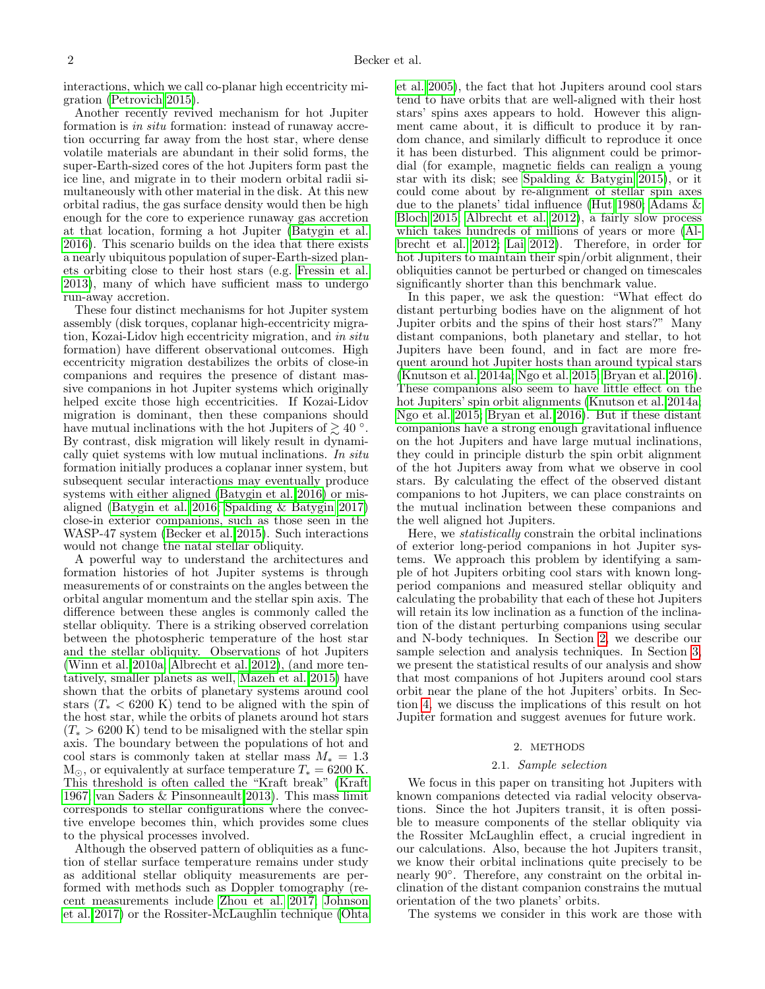interactions, which we call co-planar high eccentricity migration [\(Petrovich 2015\)](#page-9-10).

Another recently revived mechanism for hot Jupiter formation is in situ formation: instead of runaway accretion occurring far away from the host star, where dense volatile materials are abundant in their solid forms, the super-Earth-sized cores of the hot Jupiters form past the ice line, and migrate in to their modern orbital radii simultaneously with other material in the disk. At this new orbital radius, the gas surface density would then be high enough for the core to experience runaway gas accretion at that location, forming a hot Jupiter [\(Batygin et al.](#page-9-11) [2016\)](#page-9-11). This scenario builds on the idea that there exists a nearly ubiquitous population of super-Earth-sized planets orbiting close to their host stars (e.g. [Fressin et al.](#page-9-12) [2013\)](#page-9-12), many of which have sufficient mass to undergo run-away accretion.

These four distinct mechanisms for hot Jupiter system assembly (disk torques, coplanar high-eccentricity migration, Kozai-Lidov high eccentricity migration, and in situ formation) have different observational outcomes. High eccentricity migration destabilizes the orbits of close-in companions and requires the presence of distant massive companions in hot Jupiter systems which originally helped excite those high eccentricities. If Kozai-Lidov migration is dominant, then these companions should have mutual inclinations with the hot Jupiters of  $\geq 40$  °. By contrast, disk migration will likely result in dynamically quiet systems with low mutual inclinations. In situ formation initially produces a coplanar inner system, but subsequent secular interactions may eventually produce systems with either aligned [\(Batygin et al. 2016\)](#page-9-11) or misaligned [\(Batygin et al. 2016;](#page-9-11) [Spalding & Batygin 2017\)](#page-9-13) close-in exterior companions, such as those seen in the WASP-47 system [\(Becker et al. 2015\)](#page-9-14). Such interactions would not change the natal stellar obliquity.

A powerful way to understand the architectures and formation histories of hot Jupiter systems is through measurements of or constraints on the angles between the orbital angular momentum and the stellar spin axis. The difference between these angles is commonly called the stellar obliquity. There is a striking observed correlation between the photospheric temperature of the host star and the stellar obliquity. Observations of hot Jupiters [\(Winn et al. 2010a;](#page-9-15) [Albrecht et al. 2012\)](#page-9-16), (and more tentatively, smaller planets as well, [Mazeh et al. 2015\)](#page-9-17) have shown that the orbits of planetary systems around cool stars  $(T_* < 6200 \text{ K})$  tend to be aligned with the spin of the host star, while the orbits of planets around hot stars  $(T^* > 6200 \text{ K})$  tend to be misaligned with the stellar spin axis. The boundary between the populations of hot and cool stars is commonly taken at stellar mass  $M_* = 1.3$  $M_{\odot}$ , or equivalently at surface temperature  $T_{*} = 6200$  K. This threshold is often called the "Kraft break" [\(Kraft](#page-9-18) [1967;](#page-9-18) [van Saders & Pinsonneault 2013\)](#page-9-19). This mass limit corresponds to stellar configurations where the convective envelope becomes thin, which provides some clues to the physical processes involved.

Although the observed pattern of obliquities as a function of stellar surface temperature remains under study as additional stellar obliquity measurements are performed with methods such as Doppler tomography (recent measurements include [Zhou et al. 2017;](#page-9-20) [Johnson](#page-9-21) [et al. 2017\)](#page-9-21) or the Rossiter-McLaughlin technique [\(Ohta](#page-9-22) [et al. 2005\)](#page-9-22), the fact that hot Jupiters around cool stars tend to have orbits that are well-aligned with their host stars' spins axes appears to hold. However this alignment came about, it is difficult to produce it by random chance, and similarly difficult to reproduce it once it has been disturbed. This alignment could be primordial (for example, magnetic fields can realign a young star with its disk; see [Spalding & Batygin 2015\)](#page-9-23), or it could come about by re-alignment of stellar spin axes due to the planets' tidal influence [\(Hut 1980;](#page-9-24) [Adams &](#page-9-25) [Bloch 2015;](#page-9-25) [Albrecht et al. 2012\)](#page-9-16), a fairly slow process which takes hundreds of millions of years or more [\(Al](#page-9-16)[brecht et al. 2012;](#page-9-16) [Lai 2012\)](#page-9-26). Therefore, in order for hot Jupiters to maintain their spin/orbit alignment, their obliquities cannot be perturbed or changed on timescales significantly shorter than this benchmark value.

In this paper, we ask the question: "What effect do distant perturbing bodies have on the alignment of hot Jupiter orbits and the spins of their host stars?" Many distant companions, both planetary and stellar, to hot Jupiters have been found, and in fact are more frequent around hot Jupiter hosts than around typical stars [\(Knutson et al. 2014a;](#page-9-27) [Ngo et al. 2015;](#page-9-28) [Bryan et al. 2016\)](#page-9-29). These companions also seem to have little effect on the hot Jupiters' spin orbit alignments [\(Knutson et al. 2014a;](#page-9-27) [Ngo et al. 2015;](#page-9-28) [Bryan et al. 2016\)](#page-9-29). But if these distant companions have a strong enough gravitational influence on the hot Jupiters and have large mutual inclinations, they could in principle disturb the spin orbit alignment of the hot Jupiters away from what we observe in cool stars. By calculating the effect of the observed distant companions to hot Jupiters, we can place constraints on the mutual inclination between these companions and the well aligned hot Jupiters.

Here, we statistically constrain the orbital inclinations of exterior long-period companions in hot Jupiter systems. We approach this problem by identifying a sample of hot Jupiters orbiting cool stars with known longperiod companions and measured stellar obliquity and calculating the probability that each of these hot Jupiters will retain its low inclination as a function of the inclination of the distant perturbing companions using secular and N-body techniques. In Section [2,](#page-1-0) we describe our sample selection and analysis techniques. In Section [3,](#page-6-0) we present the statistical results of our analysis and show that most companions of hot Jupiters around cool stars orbit near the plane of the hot Jupiters' orbits. In Section [4,](#page-7-0) we discuss the implications of this result on hot Jupiter formation and suggest avenues for future work.

#### 2. METHODS

#### 2.1. Sample selection

<span id="page-1-0"></span>We focus in this paper on transiting hot Jupiters with known companions detected via radial velocity observations. Since the hot Jupiters transit, it is often possible to measure components of the stellar obliquity via the Rossiter McLaughlin effect, a crucial ingredient in our calculations. Also, because the hot Jupiters transit, we know their orbital inclinations quite precisely to be nearly 90◦ . Therefore, any constraint on the orbital inclination of the distant companion constrains the mutual orientation of the two planets' orbits.

The systems we consider in this work are those with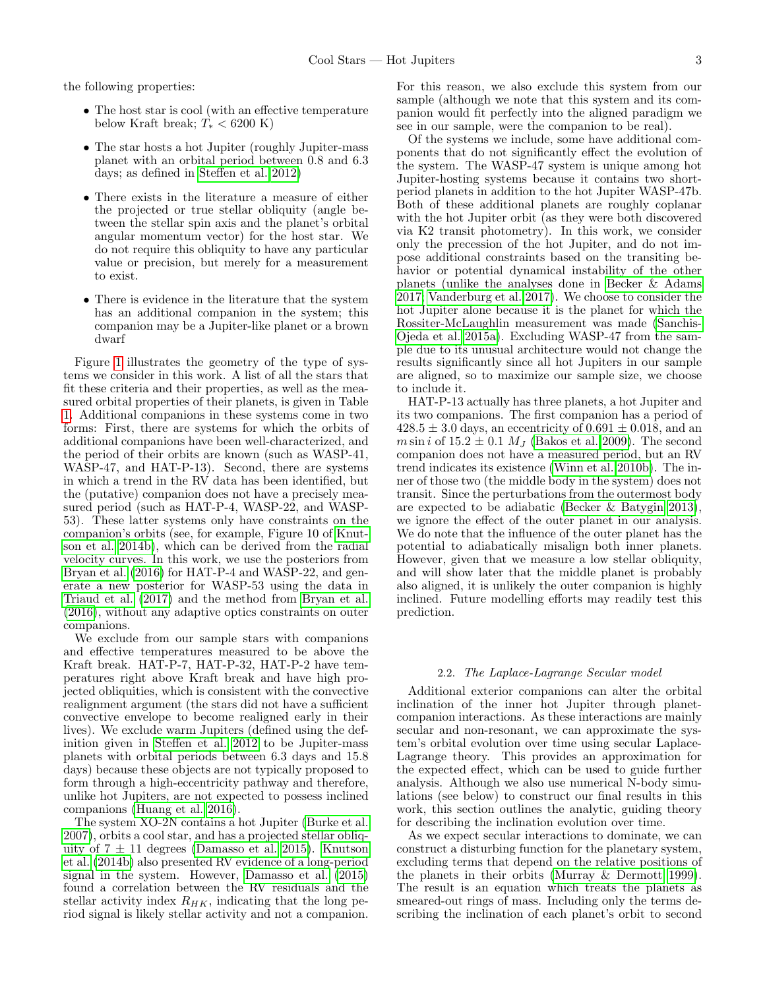the following properties:

- The host star is cool (with an effective temperature below Kraft break;  $T_* < 6200$  K)
- The star hosts a hot Jupiter (roughly Jupiter-mass) planet with an orbital period between 0.8 and 6.3 days; as defined in [Steffen et al. 2012\)](#page-9-30)
- There exists in the literature a measure of either the projected or true stellar obliquity (angle between the stellar spin axis and the planet's orbital angular momentum vector) for the host star. We do not require this obliquity to have any particular value or precision, but merely for a measurement to exist.
- There is evidence in the literature that the system has an additional companion in the system; this companion may be a Jupiter-like planet or a brown dwarf

Figure [1](#page-3-0) illustrates the geometry of the type of systems we consider in this work. A list of all the stars that fit these criteria and their properties, as well as the measured orbital properties of their planets, is given in Table [1.](#page-10-0) Additional companions in these systems come in two forms: First, there are systems for which the orbits of additional companions have been well-characterized, and the period of their orbits are known (such as WASP-41, WASP-47, and HAT-P-13). Second, there are systems in which a trend in the RV data has been identified, but the (putative) companion does not have a precisely measured period (such as HAT-P-4, WASP-22, and WASP-53). These latter systems only have constraints on the companion's orbits (see, for example, Figure 10 of [Knut](#page-9-31)[son et al. 2014b\)](#page-9-31), which can be derived from the radial velocity curves. In this work, we use the posteriors from [Bryan et al.](#page-9-29) [\(2016\)](#page-9-29) for HAT-P-4 and WASP-22, and generate a new posterior for WASP-53 using the data in [Triaud et al.](#page-9-32) [\(2017\)](#page-9-32) and the method from [Bryan et al.](#page-9-29) [\(2016\)](#page-9-29), without any adaptive optics constraints on outer companions.

We exclude from our sample stars with companions and effective temperatures measured to be above the Kraft break. HAT-P-7, HAT-P-32, HAT-P-2 have temperatures right above Kraft break and have high projected obliquities, which is consistent with the convective realignment argument (the stars did not have a sufficient convective envelope to become realigned early in their lives). We exclude warm Jupiters (defined using the definition given in [Steffen et al. 2012](#page-9-30) to be Jupiter-mass planets with orbital periods between 6.3 days and 15.8 days) because these objects are not typically proposed to form through a high-eccentricity pathway and therefore, unlike hot Jupiters, are not expected to possess inclined companions [\(Huang et al. 2016\)](#page-9-33).

The system XO-2N contains a hot Jupiter [\(Burke et al.](#page-9-34) [2007\)](#page-9-34), orbits a cool star, and has a projected stellar obliquity of  $7 \pm 11$  degrees [\(Damasso et al. 2015\)](#page-9-35). [Knutson](#page-9-31) [et al.](#page-9-31) [\(2014b\)](#page-9-31) also presented RV evidence of a long-period signal in the system. However, [Damasso et al.](#page-9-35) [\(2015\)](#page-9-35) found a correlation between the RV residuals and the stellar activity index  $R_{HK}$ , indicating that the long period signal is likely stellar activity and not a companion.

For this reason, we also exclude this system from our sample (although we note that this system and its companion would fit perfectly into the aligned paradigm we see in our sample, were the companion to be real).

Of the systems we include, some have additional components that do not significantly effect the evolution of the system. The WASP-47 system is unique among hot Jupiter-hosting systems because it contains two shortperiod planets in addition to the hot Jupiter WASP-47b. Both of these additional planets are roughly coplanar with the hot Jupiter orbit (as they were both discovered via K2 transit photometry). In this work, we consider only the precession of the hot Jupiter, and do not impose additional constraints based on the transiting behavior or potential dynamical instability of the other planets (unlike the analyses done in [Becker & Adams](#page-9-36) [2017;](#page-9-36) [Vanderburg et al. 2017\)](#page-9-37). We choose to consider the hot Jupiter alone because it is the planet for which the Rossiter-McLaughlin measurement was made [\(Sanchis-](#page-9-38)[Ojeda et al. 2015a\)](#page-9-38). Excluding WASP-47 from the sample due to its unusual architecture would not change the results significantly since all hot Jupiters in our sample are aligned, so to maximize our sample size, we choose to include it.

HAT-P-13 actually has three planets, a hot Jupiter and its two companions. The first companion has a period of  $428.5 \pm 3.0$  days, an eccentricity of  $0.691 \pm 0.018$ , and an  $m \sin i$  of  $15.2 \pm 0.1$   $M_J$  [\(Bakos et al. 2009\)](#page-9-39). The second companion does not have a measured period, but an RV trend indicates its existence [\(Winn et al. 2010b\)](#page-9-40). The inner of those two (the middle body in the system) does not transit. Since the perturbations from the outermost body are expected to be adiabatic [\(Becker & Batygin 2013\)](#page-9-41), we ignore the effect of the outer planet in our analysis. We do note that the influence of the outer planet has the potential to adiabatically misalign both inner planets. However, given that we measure a low stellar obliquity, and will show later that the middle planet is probably also aligned, it is unlikely the outer companion is highly inclined. Future modelling efforts may readily test this prediction.

#### 2.2. The Laplace-Lagrange Secular model

Additional exterior companions can alter the orbital inclination of the inner hot Jupiter through planetcompanion interactions. As these interactions are mainly secular and non-resonant, we can approximate the system's orbital evolution over time using secular Laplace-Lagrange theory. This provides an approximation for the expected effect, which can be used to guide further analysis. Although we also use numerical N-body simulations (see below) to construct our final results in this work, this section outlines the analytic, guiding theory for describing the inclination evolution over time.

As we expect secular interactions to dominate, we can construct a disturbing function for the planetary system, excluding terms that depend on the relative positions of the planets in their orbits [\(Murray & Dermott 1999\)](#page-9-42). The result is an equation which treats the planets as smeared-out rings of mass. Including only the terms describing the inclination of each planet's orbit to second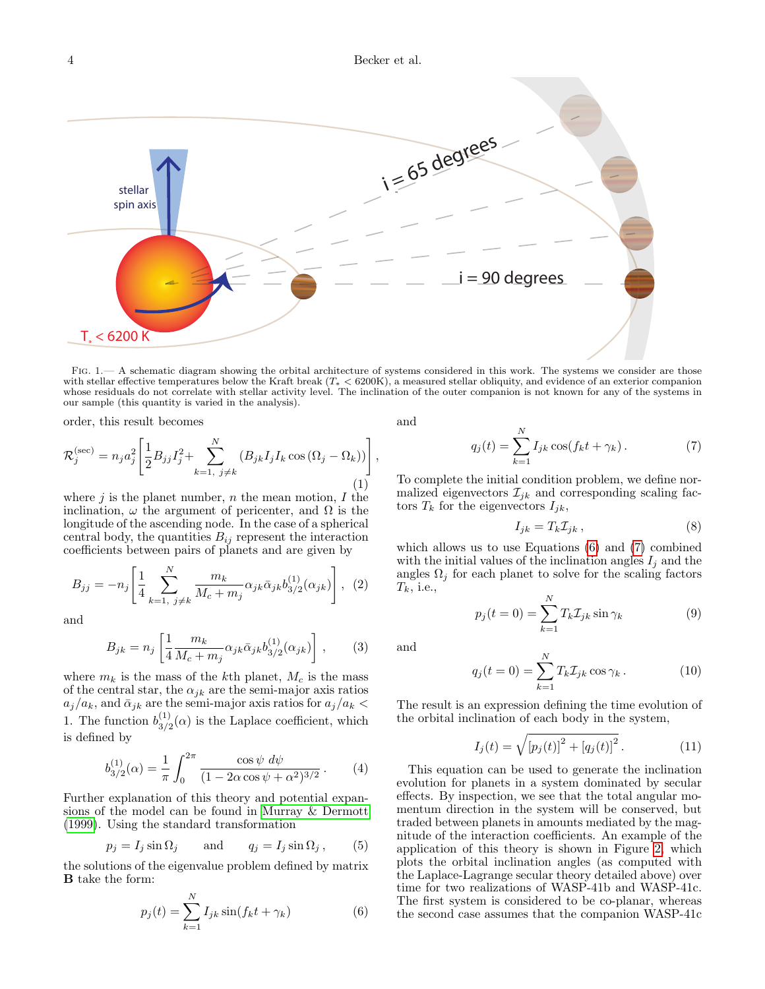## 4 Becker et al.



<span id="page-3-0"></span>FIG. 1.— A schematic diagram showing the orbital architecture of systems considered in this work. The systems we consider are those with stellar effective temperatures below the Kraft break  $(T_* < 6200K)$ , a measured stellar obliquity, and evidence of an exterior companion<br>whose residuals do not correlate with stellar activity level. The inclination of our sample (this quantity is varied in the analysis).

order, this result becomes

$$
\mathcal{R}_{j}^{(\text{sec})} = n_{j} a_{j}^{2} \left[ \frac{1}{2} B_{jj} I_{j}^{2} + \sum_{k=1, j \neq k}^{N} \left( B_{jk} I_{j} I_{k} \cos \left( \Omega_{j} - \Omega_{k} \right) \right) \right], \tag{1}
$$

where  $j$  is the planet number,  $n$  the mean motion,  $I$  the inclination,  $\omega$  the argument of pericenter, and  $\Omega$  is the longitude of the ascending node. In the case of a spherical central body, the quantities  $B_{ij}$  represent the interaction coefficients between pairs of planets and are given by

$$
B_{jj} = -n_j \left[ \frac{1}{4} \sum_{k=1, j \neq k}^{N} \frac{m_k}{M_c + m_j} \alpha_{jk} \bar{\alpha}_{jk} b_{3/2}^{(1)}(\alpha_{jk}) \right], (2)
$$

and

$$
B_{jk} = n_j \left[ \frac{1}{4} \frac{m_k}{M_c + m_j} \alpha_{jk} \bar{\alpha}_{jk} b_{3/2}^{(1)}(\alpha_{jk}) \right],
$$
 (3)

where  $m_k$  is the mass of the kth planet,  $M_c$  is the mass of the central star, the  $\alpha_{jk}$  are the semi-major axis ratios  $a_j/a_k$ , and  $\bar{\alpha}_{jk}$  are the semi-major axis ratios for  $a_j/a_k$ 1. The function  $b_{3/5}^{(1)}$  $^{(1)}_{3/2}(\alpha)$  is the Laplace coefficient, which is defined by

$$
b_{3/2}^{(1)}(\alpha) = \frac{1}{\pi} \int_0^{2\pi} \frac{\cos \psi \, d\psi}{(1 - 2\alpha \cos \psi + \alpha^2)^{3/2}} \,. \tag{4}
$$

Further explanation of this theory and potential expansions of the model can be found in [Murray & Dermott](#page-9-42) [\(1999\)](#page-9-42). Using the standard transformation

$$
p_j = I_j \sin \Omega_j \quad \text{and} \quad q_j = I_j \sin \Omega_j , \quad (5)
$$

the solutions of the eigenvalue problem defined by matrix B take the form:

<span id="page-3-1"></span>
$$
p_j(t) = \sum_{k=1}^{N} I_{jk} \sin(f_k t + \gamma_k)
$$
 (6)

<span id="page-3-2"></span>and

$$
q_j(t) = \sum_{k=1}^{N} I_{jk} \cos(f_k t + \gamma_k).
$$
 (7)

To complete the initial condition problem, we define normalized eigenvectors  $\mathcal{I}_{ik}$  and corresponding scaling factors  $T_k$  for the eigenvectors  $I_{ik}$ ,

$$
I_{jk} = T_k \mathcal{I}_{jk} , \qquad (8)
$$

which allows us to use Equations [\(6\)](#page-3-1) and [\(7\)](#page-3-2) combined with the initial values of the inclination angles  $I_j$  and the angles  $\Omega_j$  for each planet to solve for the scaling factors  $T_k$ , i.e.,

$$
p_j(t=0) = \sum_{k=1}^{N} T_k \mathcal{I}_{jk} \sin \gamma_k \tag{9}
$$

and

$$
q_j(t=0) = \sum_{k=1}^{N} T_k \mathcal{I}_{jk} \cos \gamma_k.
$$
 (10)

The result is an expression defining the time evolution of the orbital inclination of each body in the system,

<span id="page-3-3"></span>
$$
I_j(t) = \sqrt{[p_j(t)]^2 + [q_j(t)]^2}.
$$
 (11)

This equation can be used to generate the inclination evolution for planets in a system dominated by secular effects. By inspection, we see that the total angular momentum direction in the system will be conserved, but traded between planets in amounts mediated by the magnitude of the interaction coefficients. An example of the application of this theory is shown in Figure [2,](#page-4-0) which plots the orbital inclination angles (as computed with the Laplace-Lagrange secular theory detailed above) over time for two realizations of WASP-41b and WASP-41c. The first system is considered to be co-planar, whereas the second case assumes that the companion WASP-41c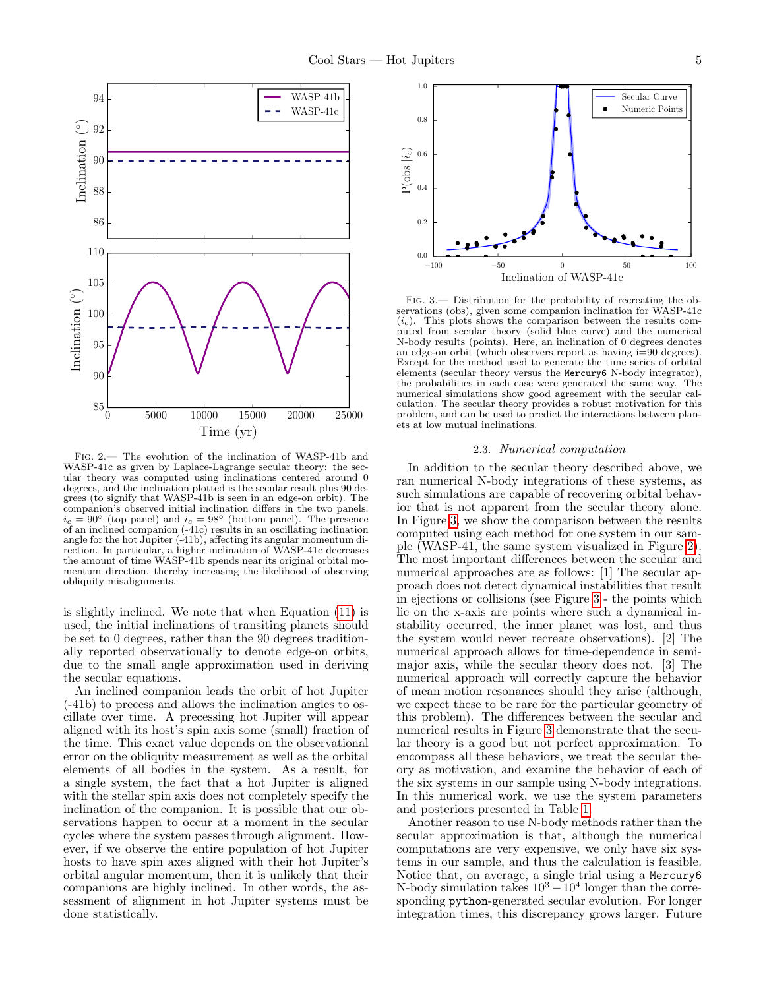

<span id="page-4-0"></span>Fig. 2.— The evolution of the inclination of WASP-41b and WASP-41c as given by Laplace-Lagrange secular theory: the secular theory was computed using inclinations centered around 0 degrees, and the inclination plotted is the secular result plus 90 degrees (to signify that WASP-41b is seen in an edge-on orbit). The companion's observed initial inclination differs in the two panels:  $i_c = 90°$  (top panel) and  $i_c = 98°$  (bottom panel). The presence of an inclined companion (-41c) results in an oscillating inclination angle for the hot Jupiter (-41b), affecting its angular momentum direction. In particular, a higher inclination of WASP-41c decreases the amount of time WASP-41b spends near its original orbital momentum direction, thereby increasing the likelihood of observing obliquity misalignments.

is slightly inclined. We note that when Equation [\(11\)](#page-3-3) is used, the initial inclinations of transiting planets should be set to 0 degrees, rather than the 90 degrees traditionally reported observationally to denote edge-on orbits, due to the small angle approximation used in deriving the secular equations.

An inclined companion leads the orbit of hot Jupiter (-41b) to precess and allows the inclination angles to oscillate over time. A precessing hot Jupiter will appear aligned with its host's spin axis some (small) fraction of the time. This exact value depends on the observational error on the obliquity measurement as well as the orbital elements of all bodies in the system. As a result, for a single system, the fact that a hot Jupiter is aligned with the stellar spin axis does not completely specify the inclination of the companion. It is possible that our observations happen to occur at a moment in the secular cycles where the system passes through alignment. However, if we observe the entire population of hot Jupiter hosts to have spin axes aligned with their hot Jupiter's orbital angular momentum, then it is unlikely that their companions are highly inclined. In other words, the assessment of alignment in hot Jupiter systems must be done statistically.



<span id="page-4-1"></span>Fig. 3.— Distribution for the probability of recreating the observations (obs), given some companion inclination for WASP-41c  $(i<sub>c</sub>)$ . This plots shows the comparison between the results computed from secular theory (solid blue curve) and the numerical N-body results (points). Here, an inclination of 0 degrees denotes an edge-on orbit (which observers report as having i=90 degrees). Except for the method used to generate the time series of orbital elements (secular theory versus the Mercury6 N-body integrator), the probabilities in each case were generated the same way. The numerical simulations show good agreement with the secular calculation. The secular theory provides a robust motivation for this problem, and can be used to predict the interactions between planets at low mutual inclinations.

#### 2.3. Numerical computation

<span id="page-4-2"></span>In addition to the secular theory described above, we ran numerical N-body integrations of these systems, as such simulations are capable of recovering orbital behavior that is not apparent from the secular theory alone. In Figure [3,](#page-4-1) we show the comparison between the results computed using each method for one system in our sample (WASP-41, the same system visualized in Figure [2\)](#page-4-0). The most important differences between the secular and numerical approaches are as follows: [1] The secular approach does not detect dynamical instabilities that result in ejections or collisions (see Figure [3](#page-4-1) - the points which lie on the x-axis are points where such a dynamical instability occurred, the inner planet was lost, and thus the system would never recreate observations). [2] The numerical approach allows for time-dependence in semimajor axis, while the secular theory does not. [3] The numerical approach will correctly capture the behavior of mean motion resonances should they arise (although, we expect these to be rare for the particular geometry of this problem). The differences between the secular and numerical results in Figure [3](#page-4-1) demonstrate that the secular theory is a good but not perfect approximation. To encompass all these behaviors, we treat the secular theory as motivation, and examine the behavior of each of the six systems in our sample using N-body integrations. In this numerical work, we use the system parameters and posteriors presented in Table [1.](#page-10-0)

Another reason to use N-body methods rather than the secular approximation is that, although the numerical computations are very expensive, we only have six systems in our sample, and thus the calculation is feasible. Notice that, on average, a single trial using a Mercury6 N-body simulation takes  $10^3 - 10^4$  longer than the corresponding python-generated secular evolution. For longer integration times, this discrepancy grows larger. Future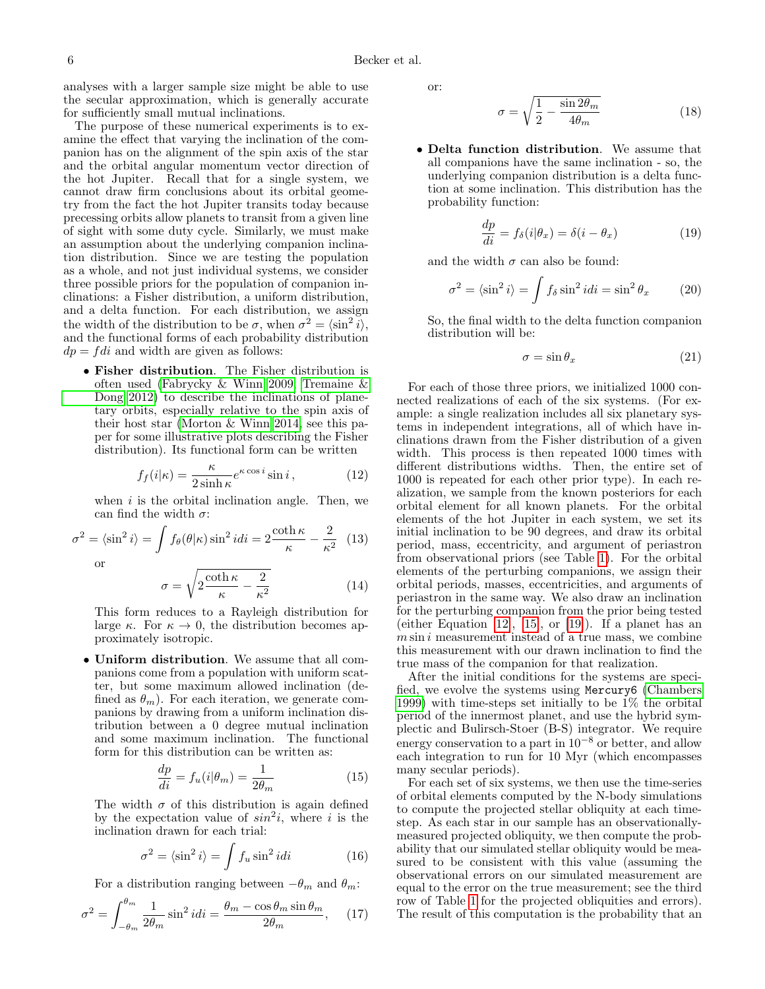6 Becker et al.

analyses with a larger sample size might be able to use the secular approximation, which is generally accurate for sufficiently small mutual inclinations.

The purpose of these numerical experiments is to examine the effect that varying the inclination of the companion has on the alignment of the spin axis of the star and the orbital angular momentum vector direction of the hot Jupiter. Recall that for a single system, we cannot draw firm conclusions about its orbital geometry from the fact the hot Jupiter transits today because precessing orbits allow planets to transit from a given line of sight with some duty cycle. Similarly, we must make an assumption about the underlying companion inclination distribution. Since we are testing the population as a whole, and not just individual systems, we consider three possible priors for the population of companion inclinations: a Fisher distribution, a uniform distribution, and a delta function. For each distribution, we assign the width of the distribution to be  $\sigma$ , when  $\sigma^2 = \langle \sin^2 i \rangle$ , and the functional forms of each probability distribution  $dp = fdi$  and width are given as follows:

• Fisher distribution. The Fisher distribution is often used [\(Fabrycky & Winn 2009;](#page-9-43) [Tremaine &](#page-9-44) [Dong 2012\)](#page-9-44) to describe the inclinations of planetary orbits, especially relative to the spin axis of their host star [\(Morton & Winn 2014,](#page-9-45) see this paper for some illustrative plots describing the Fisher distribution). Its functional form can be written

<span id="page-5-4"></span>
$$
f_f(i|\kappa) = \frac{\kappa}{2\sinh\kappa} e^{\kappa\cos i} \sin i , \qquad (12)
$$

when  $i$  is the orbital inclination angle. Then, we can find the width  $\sigma$ :

$$
\sigma^2 = \langle \sin^2 i \rangle = \int f_\theta(\theta|\kappa) \sin^2 i \, dt = 2 \frac{\coth \kappa}{\kappa} - \frac{2}{\kappa^2} \tag{13}
$$

<span id="page-5-3"></span>or

$$
\sigma = \sqrt{2 \frac{\coth \kappa}{\kappa} - \frac{2}{\kappa^2}} \tag{14}
$$

This form reduces to a Rayleigh distribution for large  $\kappa$ . For  $\kappa \to 0$ , the distribution becomes approximately isotropic.

• Uniform distribution. We assume that all companions come from a population with uniform scatter, but some maximum allowed inclination (defined as  $\theta_m$ ). For each iteration, we generate companions by drawing from a uniform inclination distribution between a 0 degree mutual inclination and some maximum inclination. The functional form for this distribution can be written as:

$$
\frac{dp}{di} = f_u(i|\theta_m) = \frac{1}{2\theta_m} \tag{15}
$$

The width  $\sigma$  of this distribution is again defined by the expectation value of  $sin^2 i$ , where i is the inclination drawn for each trial:

$$
\sigma^2 = \langle \sin^2 i \rangle = \int f_u \sin^2 i di \qquad (16)
$$

For a distribution ranging between  $-\theta_m$  and  $\theta_m$ :

$$
\sigma^2 = \int_{-\theta_m}^{\theta_m} \frac{1}{2\theta_m} \sin^2 i \, dt = \frac{\theta_m - \cos \theta_m \sin \theta_m}{2\theta_m}, \quad (17)
$$

or:

$$
\sigma = \sqrt{\frac{1}{2} - \frac{\sin 2\theta_m}{4\theta_m}}\tag{18}
$$

• Delta function distribution. We assume that all companions have the same inclination - so, the underlying companion distribution is a delta function at some inclination. This distribution has the probability function:

<span id="page-5-2"></span>
$$
\frac{dp}{di} = f_{\delta}(i|\theta_x) = \delta(i - \theta_x) \tag{19}
$$

and the width  $\sigma$  can also be found:

$$
\sigma^2 = \langle \sin^2 i \rangle = \int f_\delta \sin^2 i \, di = \sin^2 \theta_x \tag{20}
$$

So, the final width to the delta function companion distribution will be:

<span id="page-5-5"></span>
$$
\sigma = \sin \theta_x \tag{21}
$$

<span id="page-5-0"></span>For each of those three priors, we initialized 1000 connected realizations of each of the six systems. (For example: a single realization includes all six planetary systems in independent integrations, all of which have inclinations drawn from the Fisher distribution of a given width. This process is then repeated 1000 times with different distributions widths. Then, the entire set of 1000 is repeated for each other prior type). In each realization, we sample from the known posteriors for each orbital element for all known planets. For the orbital elements of the hot Jupiter in each system, we set its initial inclination to be 90 degrees, and draw its orbital period, mass, eccentricity, and argument of periastron from observational priors (see Table [1\)](#page-10-0). For the orbital elements of the perturbing companions, we assign their orbital periods, masses, eccentricities, and arguments of periastron in the same way. We also draw an inclination for the perturbing companion from the prior being tested (either Equation  $[12]$ ,  $[15]$ , or  $[19]$ ). If a planet has an  $m \sin i$  measurement instead of a true mass, we combine this measurement with our drawn inclination to find the true mass of the companion for that realization.

After the initial conditions for the systems are specified, we evolve the systems using Mercury6 [\(Chambers](#page-9-46) [1999\)](#page-9-46) with time-steps set initially to be 1% the orbital period of the innermost planet, and use the hybrid symplectic and Bulirsch-Stoer (B-S) integrator. We require energy conservation to a part in  $10^{-8}$  or better, and allow each integration to run for 10 Myr (which encompasses many secular periods).

<span id="page-5-1"></span>For each set of six systems, we then use the time-series of orbital elements computed by the N-body simulations to compute the projected stellar obliquity at each timestep. As each star in our sample has an observationallymeasured projected obliquity, we then compute the probability that our simulated stellar obliquity would be measured to be consistent with this value (assuming the observational errors on our simulated measurement are equal to the error on the true measurement; see the third row of Table [1](#page-10-0) for the projected obliquities and errors). The result of this computation is the probability that an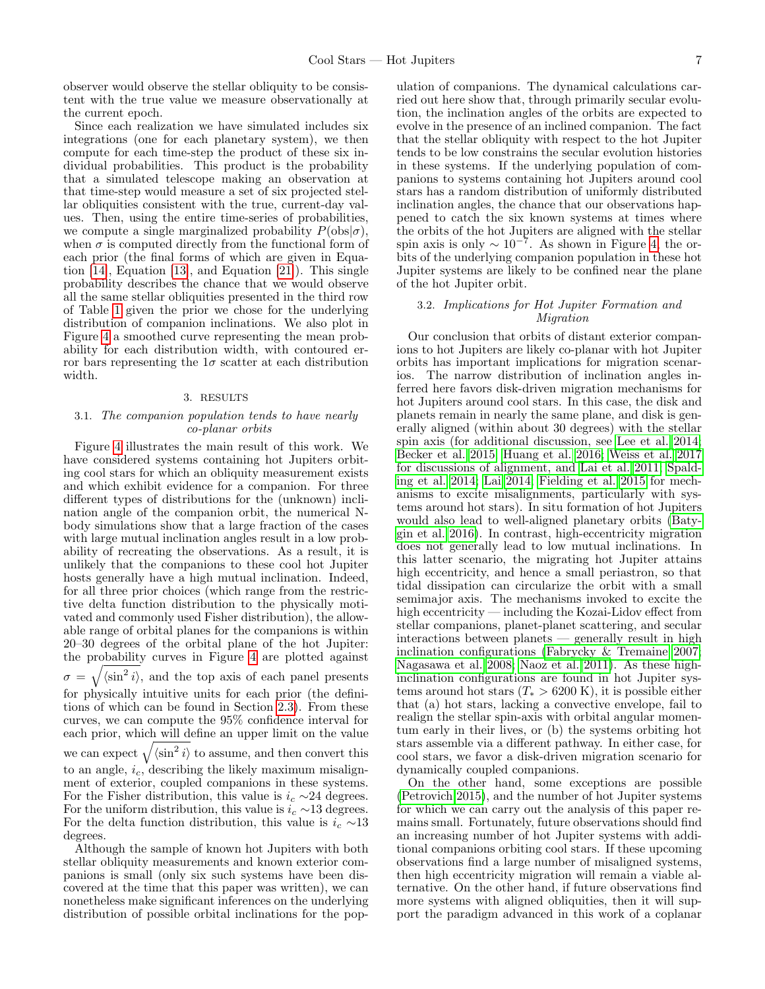observer would observe the stellar obliquity to be consistent with the true value we measure observationally at the current epoch.

Since each realization we have simulated includes six integrations (one for each planetary system), we then compute for each time-step the product of these six individual probabilities. This product is the probability that a simulated telescope making an observation at that time-step would measure a set of six projected stellar obliquities consistent with the true, current-day values. Then, using the entire time-series of probabilities, we compute a single marginalized probability  $P({\rm obs}|\sigma)$ , when  $\sigma$  is computed directly from the functional form of each prior (the final forms of which are given in Equation [\[14\]](#page-5-3), Equation [\[13\]](#page-5-4), and Equation [\[21\]](#page-5-5)). This single probability describes the chance that we would observe all the same stellar obliquities presented in the third row of Table [1](#page-10-0) given the prior we chose for the underlying distribution of companion inclinations. We also plot in Figure [4](#page-7-1) a smoothed curve representing the mean probability for each distribution width, with contoured error bars representing the  $1\sigma$  scatter at each distribution width.

#### 3. RESULTS

### <span id="page-6-0"></span>3.1. The companion population tends to have nearly co-planar orbits

Figure [4](#page-7-1) illustrates the main result of this work. We have considered systems containing hot Jupiters orbiting cool stars for which an obliquity measurement exists and which exhibit evidence for a companion. For three different types of distributions for the (unknown) inclination angle of the companion orbit, the numerical Nbody simulations show that a large fraction of the cases with large mutual inclination angles result in a low probability of recreating the observations. As a result, it is unlikely that the companions to these cool hot Jupiter hosts generally have a high mutual inclination. Indeed, for all three prior choices (which range from the restrictive delta function distribution to the physically motivated and commonly used Fisher distribution), the allowable range of orbital planes for the companions is within 20–30 degrees of the orbital plane of the hot Jupiter: the probability curves in Figure [4](#page-7-1) are plotted against  $\sigma = \sqrt{\langle \sin^2 i \rangle}$ , and the top axis of each panel presents for physically intuitive units for each prior (the definitions of which can be found in Section [2.3\)](#page-4-2). From these curves, we can compute the 95% confidence interval for each prior, which will define an upper limit on the value we can expect  $\sqrt{\langle \sin^2 i \rangle}$  to assume, and then convert this to an angle,  $i_c$ , describing the likely maximum misalignment of exterior, coupled companions in these systems. For the Fisher distribution, this value is  $i_c \sim 24$  degrees. For the uniform distribution, this value is  $i_c \sim 13$  degrees. For the delta function distribution, this value is  $i_c \sim 13$ degrees.

Although the sample of known hot Jupiters with both stellar obliquity measurements and known exterior companions is small (only six such systems have been discovered at the time that this paper was written), we can nonetheless make significant inferences on the underlying distribution of possible orbital inclinations for the pop-

ulation of companions. The dynamical calculations carried out here show that, through primarily secular evolution, the inclination angles of the orbits are expected to evolve in the presence of an inclined companion. The fact that the stellar obliquity with respect to the hot Jupiter tends to be low constrains the secular evolution histories in these systems. If the underlying population of companions to systems containing hot Jupiters around cool stars has a random distribution of uniformly distributed inclination angles, the chance that our observations happened to catch the six known systems at times where the orbits of the hot Jupiters are aligned with the stellar spin axis is only  $\sim 10^{-7}$ . As shown in Figure [4,](#page-7-1) the orbits of the underlying companion population in these hot Jupiter systems are likely to be confined near the plane of the hot Jupiter orbit.

## 3.2. Implications for Hot Jupiter Formation and Migration

Our conclusion that orbits of distant exterior companions to hot Jupiters are likely co-planar with hot Jupiter orbits has important implications for migration scenarios. The narrow distribution of inclination angles inferred here favors disk-driven migration mechanisms for hot Jupiters around cool stars. In this case, the disk and planets remain in nearly the same plane, and disk is generally aligned (within about 30 degrees) with the stellar spin axis (for additional discussion, see [Lee et al. 2014;](#page-9-47) [Becker et al. 2015;](#page-9-14) [Huang et al. 2016;](#page-9-33) [Weiss et al. 2017](#page-9-48) for discussions of alignment, and [Lai et al. 2011;](#page-9-49) [Spald](#page-9-50)[ing et al. 2014;](#page-9-50) [Lai 2014;](#page-9-51) [Fielding et al. 2015](#page-9-52) for mechanisms to excite misalignments, particularly with systems around hot stars). In situ formation of hot Jupiters would also lead to well-aligned planetary orbits [\(Baty](#page-9-11)[gin et al. 2016\)](#page-9-11). In contrast, high-eccentricity migration does not generally lead to low mutual inclinations. In this latter scenario, the migrating hot Jupiter attains high eccentricity, and hence a small periastron, so that tidal dissipation can circularize the orbit with a small semimajor axis. The mechanisms invoked to excite the high eccentricity — including the Kozai-Lidov effect from stellar companions, planet-planet scattering, and secular interactions between planets — generally result in high inclination configurations [\(Fabrycky & Tremaine 2007;](#page-9-53) [Nagasawa et al. 2008;](#page-9-54) [Naoz et al. 2011\)](#page-9-55). As these highinclination configurations are found in hot Jupiter systems around hot stars  $(T_* > 6200 \text{ K})$ , it is possible either that (a) hot stars, lacking a convective envelope, fail to realign the stellar spin-axis with orbital angular momentum early in their lives, or (b) the systems orbiting hot stars assemble via a different pathway. In either case, for cool stars, we favor a disk-driven migration scenario for dynamically coupled companions.

On the other hand, some exceptions are possible [\(Petrovich 2015\)](#page-9-10), and the number of hot Jupiter systems for which we can carry out the analysis of this paper remains small. Fortunately, future observations should find an increasing number of hot Jupiter systems with additional companions orbiting cool stars. If these upcoming observations find a large number of misaligned systems, then high eccentricity migration will remain a viable alternative. On the other hand, if future observations find more systems with aligned obliquities, then it will support the paradigm advanced in this work of a coplanar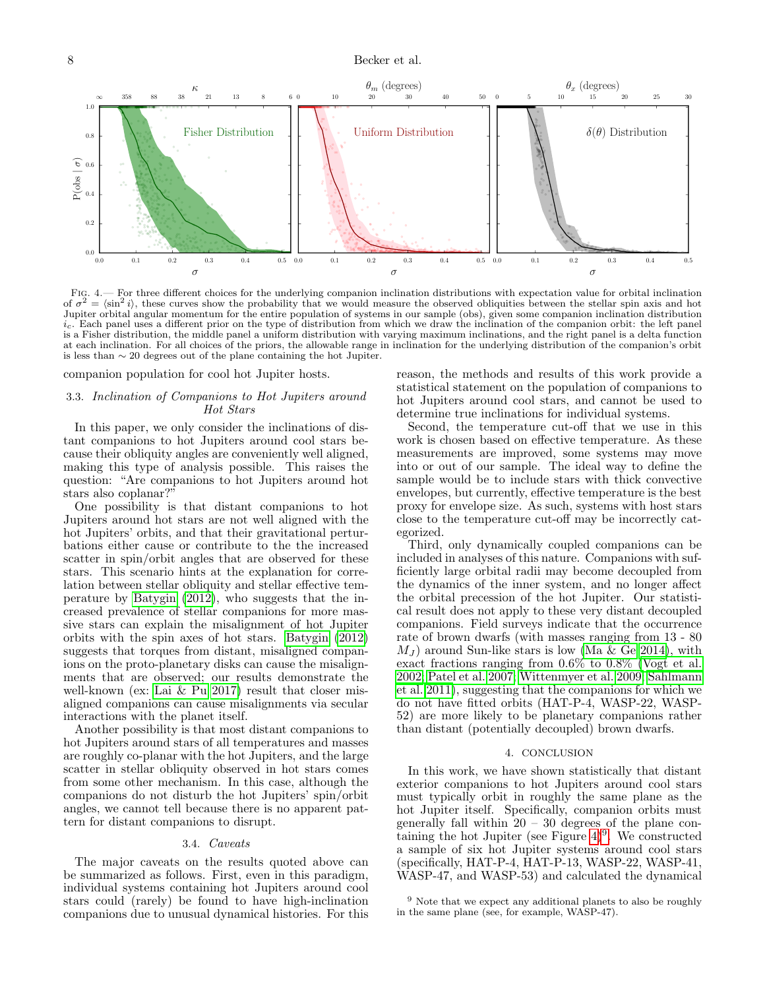## 8 Becker et al.



<span id="page-7-1"></span>Fig. 4.— For three different choices for the underlying companion inclination distributions with expectation value for orbital inclination of  $\sigma^2 = \langle \sin^2 i \rangle$ , these curves show the probability that we would measure the observed obliquities between the stellar spin axis and hot Jupiter orbital angular momentum for the entire population of systems in our sample (obs), given some companion inclination distribution  $i_c$ . Each panel uses a different prior on the type of distribution from which we draw the inclination of the companion orbit: the left panel is a Fisher distribution, the middle panel a uniform distribution with varying maximum inclinations, and the right panel is a delta function at each inclination. For all choices of the priors, the allowable range in inclination for the underlying distribution of the companion's orbit is less than ∼ 20 degrees out of the plane containing the hot Jupiter.

companion population for cool hot Jupiter hosts.

#### 3.3. Inclination of Companions to Hot Jupiters around Hot Stars

In this paper, we only consider the inclinations of distant companions to hot Jupiters around cool stars because their obliquity angles are conveniently well aligned, making this type of analysis possible. This raises the question: "Are companions to hot Jupiters around hot stars also coplanar?"

One possibility is that distant companions to hot Jupiters around hot stars are not well aligned with the hot Jupiters' orbits, and that their gravitational perturbations either cause or contribute to the the increased scatter in spin/orbit angles that are observed for these stars. This scenario hints at the explanation for correlation between stellar obliquity and stellar effective temperature by [Batygin](#page-9-56) [\(2012\)](#page-9-56), who suggests that the increased prevalence of stellar companions for more massive stars can explain the misalignment of hot Jupiter orbits with the spin axes of hot stars. [Batygin](#page-9-56) [\(2012\)](#page-9-56) suggests that torques from distant, misaligned companions on the proto-planetary disks can cause the misalignments that are observed; our results demonstrate the well-known (ex: [Lai & Pu 2017\)](#page-9-57) result that closer misaligned companions can cause misalignments via secular interactions with the planet itself.

Another possibility is that most distant companions to hot Jupiters around stars of all temperatures and masses are roughly co-planar with the hot Jupiters, and the large scatter in stellar obliquity observed in hot stars comes from some other mechanism. In this case, although the companions do not disturb the hot Jupiters' spin/orbit angles, we cannot tell because there is no apparent pattern for distant companions to disrupt.

#### 3.4. Caveats

The major caveats on the results quoted above can be summarized as follows. First, even in this paradigm, individual systems containing hot Jupiters around cool stars could (rarely) be found to have high-inclination companions due to unusual dynamical histories. For this reason, the methods and results of this work provide a statistical statement on the population of companions to hot Jupiters around cool stars, and cannot be used to determine true inclinations for individual systems.

Second, the temperature cut-off that we use in this work is chosen based on effective temperature. As these measurements are improved, some systems may move into or out of our sample. The ideal way to define the sample would be to include stars with thick convective envelopes, but currently, effective temperature is the best proxy for envelope size. As such, systems with host stars close to the temperature cut-off may be incorrectly categorized.

Third, only dynamically coupled companions can be included in analyses of this nature. Companions with sufficiently large orbital radii may become decoupled from the dynamics of the inner system, and no longer affect the orbital precession of the hot Jupiter. Our statistical result does not apply to these very distant decoupled companions. Field surveys indicate that the occurrence rate of brown dwarfs (with masses ranging from 13 - 80  $M_J$ ) around Sun-like stars is low [\(Ma & Ge 2014\)](#page-9-58), with exact fractions ranging from 0.6% to 0.8% [\(Vogt et al.](#page-9-59) [2002;](#page-9-59) [Patel et al. 2007;](#page-9-60) [Wittenmyer et al. 2009;](#page-9-61) [Sahlmann](#page-9-62) [et al. 2011\)](#page-9-62), suggesting that the companions for which we do not have fitted orbits (HAT-P-4, WASP-22, WASP-52) are more likely to be planetary companions rather than distant (potentially decoupled) brown dwarfs.

#### 4. CONCLUSION

<span id="page-7-0"></span>In this work, we have shown statistically that distant exterior companions to hot Jupiters around cool stars must typically orbit in roughly the same plane as the hot Jupiter itself. Specifically, companion orbits must generally fall within  $20 - 30$  degrees of the plane containing the hot Jupiter (see Figure  $4)^9$  $4)^9$ . We constructed a sample of six hot Jupiter systems around cool stars (specifically, HAT-P-4, HAT-P-13, WASP-22, WASP-41, WASP-47, and WASP-53) and calculated the dynamical

<span id="page-7-2"></span><sup>&</sup>lt;sup>9</sup> Note that we expect any additional planets to also be roughly in the same plane (see, for example, WASP-47).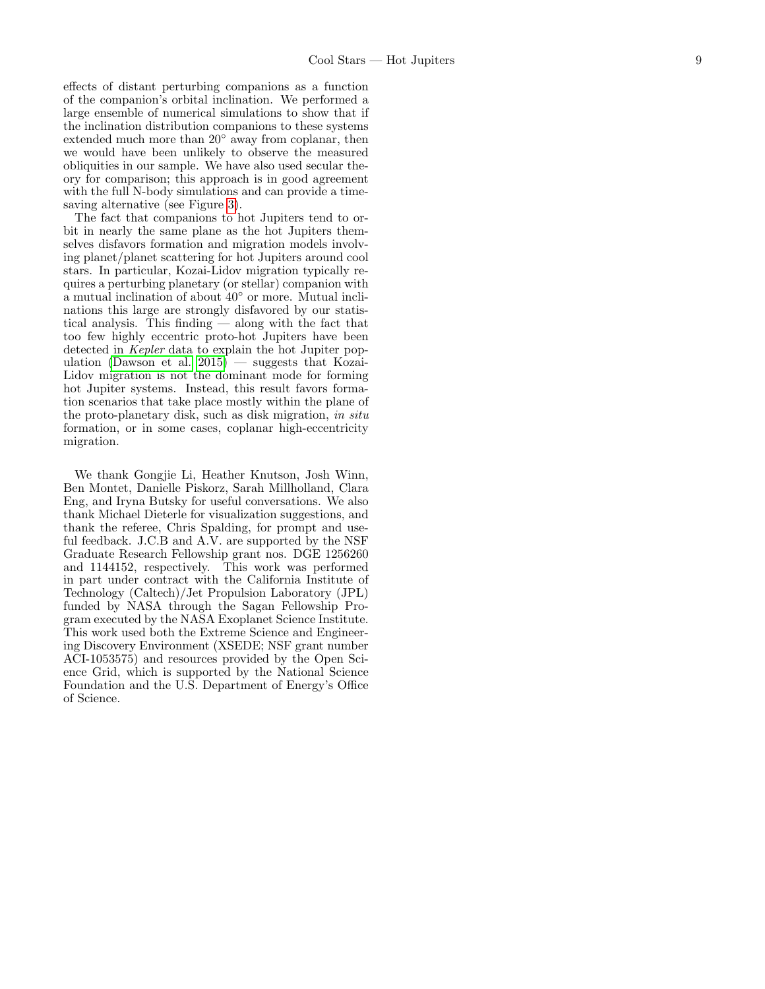effects of distant perturbing companions as a function of the companion's orbital inclination. We performed a large ensemble of numerical simulations to show that if the inclination distribution companions to these systems extended much more than 20◦ away from coplanar, then we would have been unlikely to observe the measured obliquities in our sample. We have also used secular theory for comparison; this approach is in good agreement with the full N-body simulations and can provide a timesaving alternative (see Figure [3\)](#page-4-1).

The fact that companions to hot Jupiters tend to orbit in nearly the same plane as the hot Jupiters themselves disfavors formation and migration models involving planet/planet scattering for hot Jupiters around cool stars. In particular, Kozai-Lidov migration typically requires a perturbing planetary (or stellar) companion with a mutual inclination of about 40◦ or more. Mutual inclinations this large are strongly disfavored by our statistical analysis. This finding — along with the fact that too few highly eccentric proto-hot Jupiters have been detected in Kepler data to explain the hot Jupiter pop-ulation [\(Dawson et al. 2015\)](#page-9-63) — suggests that Kozai-Lidov migration is not the dominant mode for forming hot Jupiter systems. Instead, this result favors formation scenarios that take place mostly within the plane of the proto-planetary disk, such as disk migration, in situ formation, or in some cases, coplanar high-eccentricity migration.

We thank Gongjie Li, Heather Knutson, Josh Winn, Ben Montet, Danielle Piskorz, Sarah Millholland, Clara Eng, and Iryna Butsky for useful conversations. We also thank Michael Dieterle for visualization suggestions, and thank the referee, Chris Spalding, for prompt and useful feedback. J.C.B and A.V. are supported by the NSF Graduate Research Fellowship grant nos. DGE 1256260 and 1144152, respectively. This work was performed in part under contract with the California Institute of Technology (Caltech)/Jet Propulsion Laboratory (JPL) funded by NASA through the Sagan Fellowship Program executed by the NASA Exoplanet Science Institute. This work used both the Extreme Science and Engineering Discovery Environment (XSEDE; NSF grant number ACI-1053575) and resources provided by the Open Science Grid, which is supported by the National Science Foundation and the U.S. Department of Energy's Office of Science.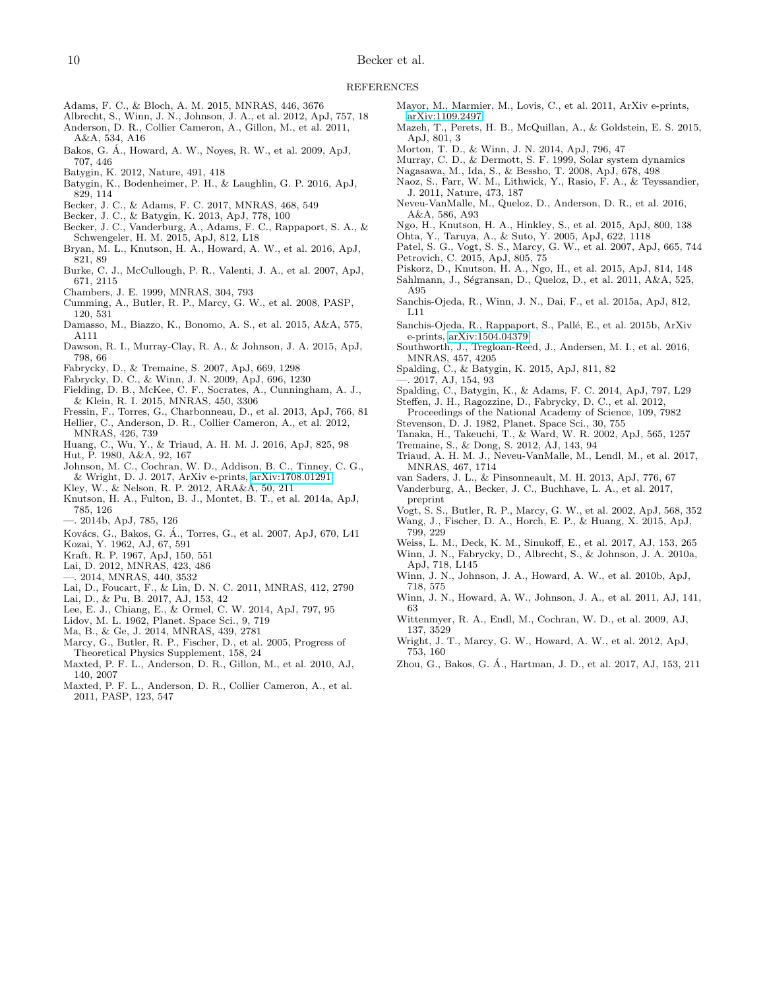- <span id="page-9-25"></span>Adams, F. C., & Bloch, A. M. 2015, MNRAS, 446, 3676
- <span id="page-9-68"></span><span id="page-9-16"></span>Albrecht, S., Winn, J. N., Johnson, J. A., et al. 2012, ApJ, 757, 18 Anderson, D. R., Collier Cameron, A., Gillon, M., et al. 2011, A&A, 534, A16
- <span id="page-9-39"></span>Bakos, G. A., Howard, A. W., Noyes, R. W., et al. 2009, ApJ, ´ 707, 446
- <span id="page-9-56"></span>Batygin, K. 2012, Nature, 491, 418
- <span id="page-9-11"></span>Batygin, K., Bodenheimer, P. H., & Laughlin, G. P. 2016, ApJ, 829, 114
- <span id="page-9-36"></span>Becker, J. C., & Adams, F. C. 2017, MNRAS, 468, 549
- <span id="page-9-41"></span>Becker, J. C., & Batygin, K. 2013, ApJ, 778, 100
- <span id="page-9-14"></span>Becker, J. C., Vanderburg, A., Adams, F. C., Rappaport, S. A., & Schwengeler, H. M. 2015, ApJ, 812, L18
- <span id="page-9-29"></span>Bryan, M. L., Knutson, H. A., Howard, A. W., et al. 2016, ApJ, 821, 89
- <span id="page-9-34"></span>Burke, C. J., McCullough, P. R., Valenti, J. A., et al. 2007, ApJ, 671, 2115
- <span id="page-9-46"></span>Chambers, J. E. 1999, MNRAS, 304, 793
- <span id="page-9-1"></span>Cumming, A., Butler, R. P., Marcy, G. W., et al. 2008, PASP, 120, 531
- <span id="page-9-35"></span>Damasso, M., Biazzo, K., Bonomo, A. S., et al. 2015, A&A, 575, A111
- <span id="page-9-63"></span>Dawson, R. I., Murray-Clay, R. A., & Johnson, J. A. 2015, ApJ, 798, 66
- <span id="page-9-53"></span>Fabrycky, D., & Tremaine, S. 2007, ApJ, 669, 1298
- <span id="page-9-43"></span>Fabrycky, D. C., & Winn, J. N. 2009, ApJ, 696, 1230
- <span id="page-9-52"></span>Fielding, D. B., McKee, C. F., Socrates, A., Cunningham, A. J., & Klein, R. I. 2015, MNRAS, 450, 3306
- <span id="page-9-73"></span><span id="page-9-12"></span>Fressin, F., Torres, G., Charbonneau, D., et al. 2013, ApJ, 766, 81 Hellier, C., Anderson, D. R., Collier Cameron, A., et al. 2012,
- MNRAS, 426, 739 Huang, C., Wu, Y., & Triaud, A. H. M. J. 2016, ApJ, 825, 98
- <span id="page-9-33"></span><span id="page-9-24"></span>Hut, P. 1980, A&A, 92, 167
- <span id="page-9-21"></span>Johnson, M. C., Cochran, W. D., Addison, B. C., Tinney, C. G., & Wright, D. J. 2017, ArXiv e-prints, [arXiv:1708.01291](http://arxiv.org/abs/1708.01291)
- <span id="page-9-7"></span>Kley, W., & Nelson, R. P. 2012, ARA&A, 50, 211
- <span id="page-9-27"></span>Knutson, H. A., Fulton, B. J., Montet, B. T., et al. 2014a, ApJ, 785, 126
- <span id="page-9-31"></span>—. 2014b, ApJ, 785, 126
- <span id="page-9-64"></span>Kovács, G., Bakos, G. Á., Torres, G., et al. 2007, ApJ, 670, L41
- <span id="page-9-9"></span>Kozai, Y. 1962, AJ, 67, 591
- <span id="page-9-18"></span>Kraft, R. P. 1967, ApJ, 150, 551
- <span id="page-9-51"></span><span id="page-9-26"></span>Lai, D. 2012, MNRAS, 423, 486
- —. 2014, MNRAS, 440, 3532
- <span id="page-9-49"></span>Lai, D., Foucart, F., & Lin, D. N. C. 2011, MNRAS, 412, 2790
- <span id="page-9-57"></span>Lai, D., & Pu, B. 2017, AJ, 153, 42
- <span id="page-9-47"></span>Lee, E. J., Chiang, E., & Ormel, C. W. 2014, ApJ, 797, 95
- <span id="page-9-8"></span>Lidov, M. L. 1962, Planet. Space Sci., 9, 719
- <span id="page-9-58"></span>Ma, B., & Ge, J. 2014, MNRAS, 439, 2781
- <span id="page-9-0"></span>Marcy, G., Butler, R. P., Fischer, D., et al. 2005, Progress of Theoretical Physics Supplement, 158, 24
- <span id="page-9-69"></span>Maxted, P. F. L., Anderson, D. R., Gillon, M., et al. 2010, AJ, 140, 2007
- <span id="page-9-70"></span>Maxted, P. F. L., Anderson, D. R., Collier Cameron, A., et al. 2011, PASP, 123, 547
- <span id="page-9-2"></span>Mayor, M., Marmier, M., Lovis, C., et al. 2011, ArXiv e-prints, [arXiv:1109.2497](http://arxiv.org/abs/1109.2497)
- <span id="page-9-17"></span>Mazeh, T., Perets, H. B., McQuillan, A., & Goldstein, E. S. 2015, ApJ, 801, 3
- <span id="page-9-45"></span>Morton, T. D., & Winn, J. N. 2014, ApJ, 796, 47
- <span id="page-9-42"></span>Murray, C. D., & Dermott, S. F. 1999, Solar system dynamics
- <span id="page-9-54"></span>Nagasawa, M., Ida, S., & Bessho, T. 2008, ApJ, 678, 498
- <span id="page-9-55"></span>Naoz, S., Farr, W. M., Lithwick, Y., Rasio, F. A., & Teyssandier, J. 2011, Nature, 473, 187
- <span id="page-9-71"></span>Neveu-VanMalle, M., Queloz, D., Anderson, D. R., et al. 2016, A&A, 586, A93
- <span id="page-9-28"></span>Ngo, H., Knutson, H. A., Hinkley, S., et al. 2015, ApJ, 800, 138
- <span id="page-9-22"></span>Ohta, Y., Taruya, A., & Suto, Y. 2005, ApJ, 622, 1118
- <span id="page-9-60"></span><span id="page-9-10"></span>Patel, S. G., Vogt, S. S., Marcy, G. W., et al. 2007, ApJ, 665, 744 Petrovich, C. 2015, ApJ, 805, 75
- <span id="page-9-66"></span>Piskorz, D., Knutson, H. A., Ngo, H., et al. 2015, ApJ, 814, 148
- <span id="page-9-62"></span>Sahlmann, J., Ségransan, D., Queloz, D., et al. 2011, A&A, 525, A95
- <span id="page-9-38"></span>Sanchis-Ojeda, R., Winn, J. N., Dai, F., et al. 2015a, ApJ, 812, L11
- <span id="page-9-72"></span>Sanchis-Ojeda, R., Rappaport, S., Pallé, E., et al. 2015b, ArXiv e-prints, [arXiv:1504.04379](http://arxiv.org/abs/1504.04379)
- <span id="page-9-67"></span>Southworth, J., Tregloan-Reed, J., Andersen, M. I., et al. 2016, MNRAS, 457, 4205
- <span id="page-9-23"></span><span id="page-9-13"></span>Spalding, C., & Batygin, K. 2015, ApJ, 811, 82 —. 2017, AJ, 154, 93
- 
- <span id="page-9-50"></span><span id="page-9-30"></span>Spalding, C., Batygin, K., & Adams, F. C. 2014, ApJ, 797, L29 Steffen, J. H., Ragozzine, D., Fabrycky, D. C., et al. 2012,
- Proceedings of the National Academy of Science, 109, 7982
- <span id="page-9-5"></span>Stevenson, D. J. 1982, Planet. Space Sci., 30, 755
- <span id="page-9-6"></span>Tanaka, H., Takeuchi, T., & Ward, W. R. 2002, ApJ, 565, 1257
- <span id="page-9-44"></span><span id="page-9-32"></span>Tremaine, S., & Dong, S. 2012, AJ, 143, 94
- Triaud, A. H. M. J., Neveu-VanMalle, M., Lendl, M., et al. 2017, MNRAS, 467, 1714
- <span id="page-9-19"></span>van Saders, J. L., & Pinsonneault, M. H. 2013, ApJ, 776, 67
- <span id="page-9-37"></span>Vanderburg, A., Becker, J. C., Buchhave, L. A., et al. 2017,

preprint

- <span id="page-9-59"></span><span id="page-9-4"></span>Vogt, S. S., Butler, R. P., Marcy, G. W., et al. 2002, ApJ, 568, 352 Wang, J., Fischer, D. A., Horch, E. P., & Huang, X. 2015, ApJ, 799, 229
- <span id="page-9-48"></span>Weiss, L. M., Deck, K. M., Sinukoff, E., et al. 2017, AJ, 153, 265
- <span id="page-9-15"></span>Winn, J. N., Fabrycky, D., Albrecht, S., & Johnson, J. A. 2010a, ApJ, 718, L145
- <span id="page-9-40"></span>Winn, J. N., Johnson, J. A., Howard, A. W., et al. 2010b, ApJ, 718, 575
- <span id="page-9-65"></span>Winn, J. N., Howard, A. W., Johnson, J. A., et al. 2011, AJ, 141, 63
- <span id="page-9-61"></span>Wittenmyer, R. A., Endl, M., Cochran, W. D., et al. 2009, AJ, 137, 3529
- <span id="page-9-3"></span>Wright, J. T., Marcy, G. W., Howard, A. W., et al. 2012, ApJ, 753, 160
- <span id="page-9-20"></span>Zhou, G., Bakos, G. A., Hartman, J. D., et al. 2017, AJ, 153, 211 ´